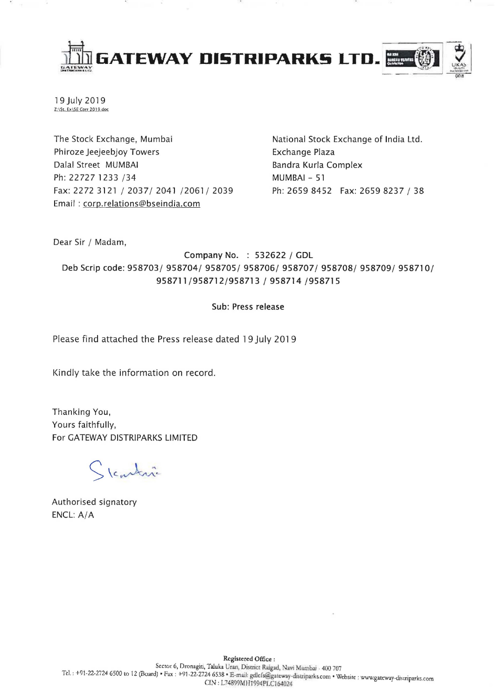

19 July 2019 Z:\St. Ex\SE Corr 2019.doc

The Stock Exchange, Mumbai Phiroze Jeejeebjoy Towers Dalal Street MUMBAI Ph: 22727 1233 /34 Fax: 2272 3121/2037/2041/2061/2039 Email: corp.relations@bseindia.com

National Stock Exchange of India Ltd. Exchange Plaza Bandra Kurla Complex MUMBAI - 51 Ph: 2659 8452 Fax: 2659 8237 / 38

Dear Sir / Madam,

Company No. : 532622 / GDL Deb Scrip code: 958703/ 958704/ 958705/ 958706/ 958707/ 958708/ 958709/ 958710/ 958711/958712/958713 / 958714 /958715

## Sub: Press release

Please find attached the Press release dated 19 July 2019

Kindly take the information on record.

Thanking You, Yours faithfully, For GATEWAY DISTRIPARKS LIMITED

cartin

Authorised signatory ENCL: A/A